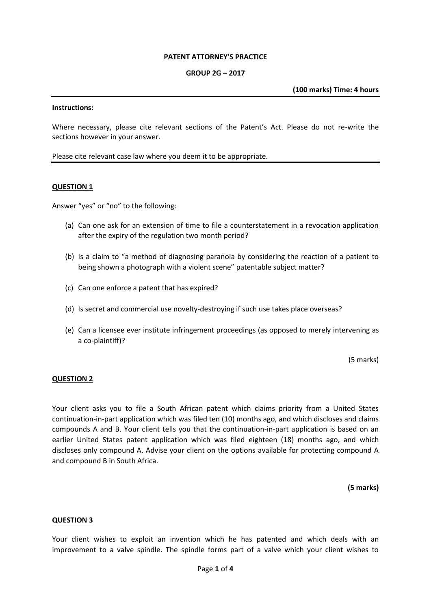#### **PATENT ATTORNEY'S PRACTICE**

#### **GROUP 2G – 2017**

**(100 marks) Time: 4 hours**

#### **Instructions:**

Where necessary, please cite relevant sections of the Patent's Act. Please do not re-write the sections however in your answer.

Please cite relevant case law where you deem it to be appropriate.

#### **QUESTION 1**

Answer "yes" or "no" to the following:

- (a) Can one ask for an extension of time to file a counterstatement in a revocation application after the expiry of the regulation two month period?
- (b) Is a claim to "a method of diagnosing paranoia by considering the reaction of a patient to being shown a photograph with a violent scene" patentable subject matter?
- (c) Can one enforce a patent that has expired?
- (d) Is secret and commercial use novelty-destroying if such use takes place overseas?
- (e) Can a licensee ever institute infringement proceedings (as opposed to merely intervening as a co-plaintiff)?

(5 marks)

#### **QUESTION 2**

Your client asks you to file a South African patent which claims priority from a United States continuation-in-part application which was filed ten (10) months ago, and which discloses and claims compounds A and B. Your client tells you that the continuation-in-part application is based on an earlier United States patent application which was filed eighteen (18) months ago, and which discloses only compound A. Advise your client on the options available for protecting compound A and compound B in South Africa.

**(5 marks)**

#### **QUESTION 3**

Your client wishes to exploit an invention which he has patented and which deals with an improvement to a valve spindle. The spindle forms part of a valve which your client wishes to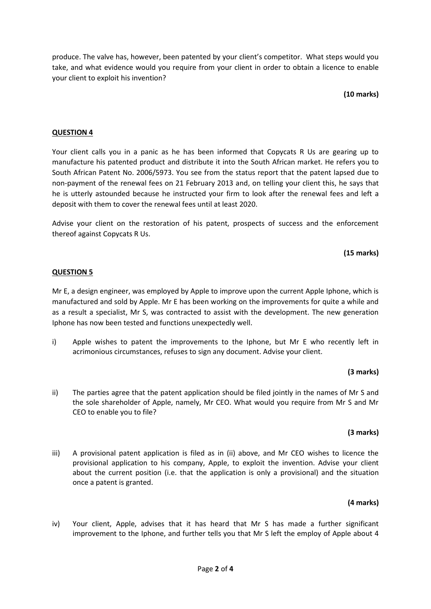produce. The valve has, however, been patented by your client's competitor. What steps would you take, and what evidence would you require from your client in order to obtain a licence to enable your client to exploit his invention?

# **(10 marks)**

# **QUESTION 4**

Your client calls you in a panic as he has been informed that Copycats R Us are gearing up to manufacture his patented product and distribute it into the South African market. He refers you to South African Patent No. 2006/5973. You see from the status report that the patent lapsed due to non-payment of the renewal fees on 21 February 2013 and, on telling your client this, he says that he is utterly astounded because he instructed your firm to look after the renewal fees and left a deposit with them to cover the renewal fees until at least 2020.

Advise your client on the restoration of his patent, prospects of success and the enforcement thereof against Copycats R Us.

# **(15 marks)**

### **QUESTION 5**

Mr E, a design engineer, was employed by Apple to improve upon the current Apple Iphone, which is manufactured and sold by Apple. Mr E has been working on the improvements for quite a while and as a result a specialist, Mr S, was contracted to assist with the development. The new generation Iphone has now been tested and functions unexpectedly well.

i) Apple wishes to patent the improvements to the Iphone, but Mr E who recently left in acrimonious circumstances, refuses to sign any document. Advise your client.

# **(3 marks)**

ii) The parties agree that the patent application should be filed jointly in the names of Mr S and the sole shareholder of Apple, namely, Mr CEO. What would you require from Mr S and Mr CEO to enable you to file?

### **(3 marks)**

iii) A provisional patent application is filed as in (ii) above, and Mr CEO wishes to licence the provisional application to his company, Apple, to exploit the invention. Advise your client about the current position (i.e. that the application is only a provisional) and the situation once a patent is granted.

### **(4 marks)**

iv) Your client, Apple, advises that it has heard that Mr S has made a further significant improvement to the Iphone, and further tells you that Mr S left the employ of Apple about 4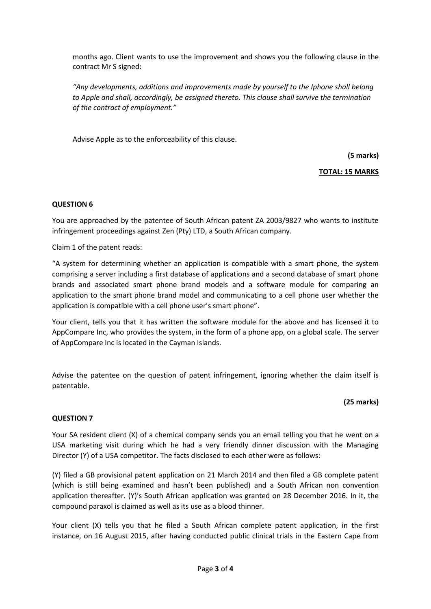months ago. Client wants to use the improvement and shows you the following clause in the contract Mr S signed:

*"Any developments, additions and improvements made by yourself to the Iphone shall belong to Apple and shall, accordingly, be assigned thereto. This clause shall survive the termination of the contract of employment."*

Advise Apple as to the enforceability of this clause.

**(5 marks)**

# **TOTAL: 15 MARKS**

# **QUESTION 6**

You are approached by the patentee of South African patent ZA 2003/9827 who wants to institute infringement proceedings against Zen (Pty) LTD, a South African company.

Claim 1 of the patent reads:

"A system for determining whether an application is compatible with a smart phone, the system comprising a server including a first database of applications and a second database of smart phone brands and associated smart phone brand models and a software module for comparing an application to the smart phone brand model and communicating to a cell phone user whether the application is compatible with a cell phone user's smart phone".

Your client, tells you that it has written the software module for the above and has licensed it to AppCompare Inc, who provides the system, in the form of a phone app, on a global scale. The server of AppCompare Inc is located in the Cayman Islands.

Advise the patentee on the question of patent infringement, ignoring whether the claim itself is patentable.

### **(25 marks)**

### **QUESTION 7**

Your SA resident client (X) of a chemical company sends you an email telling you that he went on a USA marketing visit during which he had a very friendly dinner discussion with the Managing Director (Y) of a USA competitor. The facts disclosed to each other were as follows:

(Y) filed a GB provisional patent application on 21 March 2014 and then filed a GB complete patent (which is still being examined and hasn't been published) and a South African non convention application thereafter. (Y)'s South African application was granted on 28 December 2016. In it, the compound paraxol is claimed as well as its use as a blood thinner.

Your client (X) tells you that he filed a South African complete patent application, in the first instance, on 16 August 2015, after having conducted public clinical trials in the Eastern Cape from